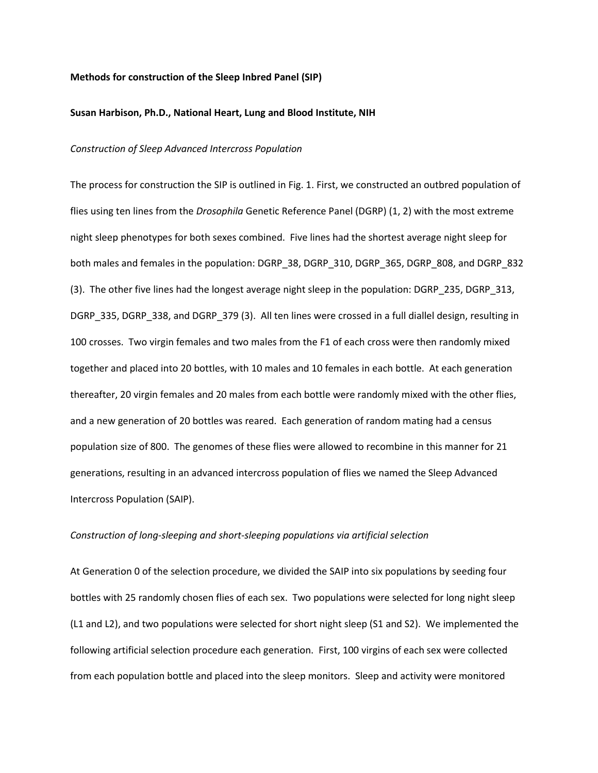## **Methods for construction of the Sleep Inbred Panel (SIP)**

## **Susan Harbison, Ph.D., National Heart, Lung and Blood Institute, NIH**

#### *Construction of Sleep Advanced Intercross Population*

The process for construction the SIP is outlined in Fig. 1. First, we constructed an outbred population of flies using ten lines from the *Drosophila* Genetic Reference Panel (DGRP) (1, 2) with the most extreme night sleep phenotypes for both sexes combined. Five lines had the shortest average night sleep for both males and females in the population: DGRP\_38, DGRP\_310, DGRP\_365, DGRP\_808, and DGRP\_832 (3). The other five lines had the longest average night sleep in the population: DGRP\_235, DGRP\_313, DGRP\_335, DGRP\_338, and DGRP\_379 (3). All ten lines were crossed in a full diallel design, resulting in 100 crosses. Two virgin females and two males from the F1 of each cross were then randomly mixed together and placed into 20 bottles, with 10 males and 10 females in each bottle. At each generation thereafter, 20 virgin females and 20 males from each bottle were randomly mixed with the other flies, and a new generation of 20 bottles was reared. Each generation of random mating had a census population size of 800. The genomes of these flies were allowed to recombine in this manner for 21 generations, resulting in an advanced intercross population of flies we named the Sleep Advanced Intercross Population (SAIP).

### *Construction of long-sleeping and short-sleeping populations via artificial selection*

At Generation 0 of the selection procedure, we divided the SAIP into six populations by seeding four bottles with 25 randomly chosen flies of each sex. Two populations were selected for long night sleep (L1 and L2), and two populations were selected for short night sleep (S1 and S2). We implemented the following artificial selection procedure each generation. First, 100 virgins of each sex were collected from each population bottle and placed into the sleep monitors. Sleep and activity were monitored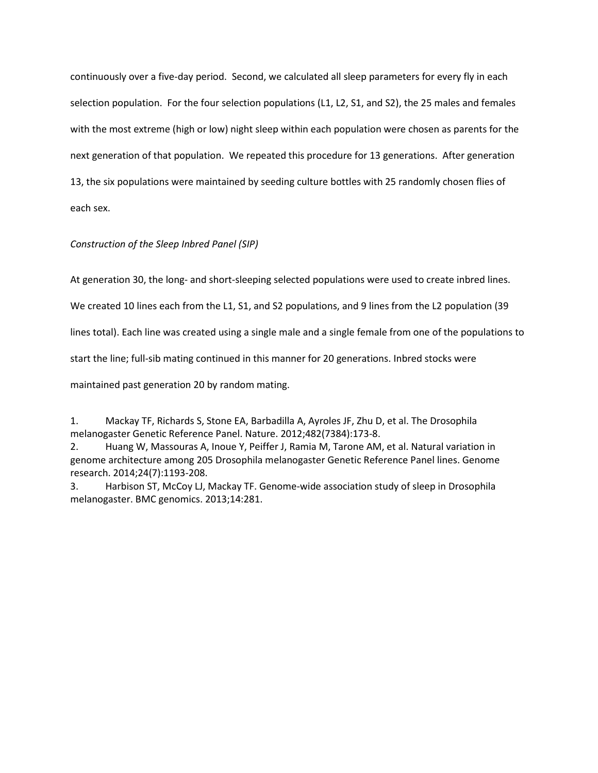continuously over a five-day period. Second, we calculated all sleep parameters for every fly in each selection population. For the four selection populations (L1, L2, S1, and S2), the 25 males and females with the most extreme (high or low) night sleep within each population were chosen as parents for the next generation of that population. We repeated this procedure for 13 generations. After generation 13, the six populations were maintained by seeding culture bottles with 25 randomly chosen flies of each sex.

# *Construction of the Sleep Inbred Panel (SIP)*

At generation 30, the long- and short-sleeping selected populations were used to create inbred lines.

We created 10 lines each from the L1, S1, and S2 populations, and 9 lines from the L2 population (39

lines total). Each line was created using a single male and a single female from one of the populations to

start the line; full-sib mating continued in this manner for 20 generations. Inbred stocks were

maintained past generation 20 by random mating.

1. Mackay TF, Richards S, Stone EA, Barbadilla A, Ayroles JF, Zhu D, et al. The Drosophila melanogaster Genetic Reference Panel. Nature. 2012;482(7384):173-8.

2. Huang W, Massouras A, Inoue Y, Peiffer J, Ramia M, Tarone AM, et al. Natural variation in genome architecture among 205 Drosophila melanogaster Genetic Reference Panel lines. Genome research. 2014;24(7):1193-208.

3. Harbison ST, McCoy LJ, Mackay TF. Genome-wide association study of sleep in Drosophila melanogaster. BMC genomics. 2013;14:281.